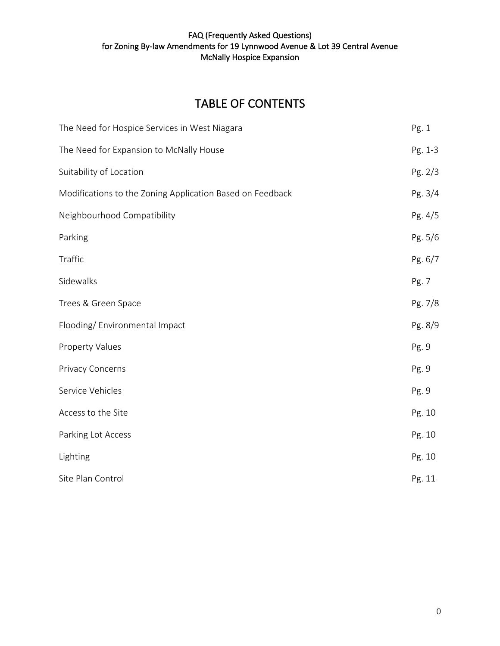# TABLE OF CONTENTS

| The Need for Hospice Services in West Niagara             | Pg. 1   |
|-----------------------------------------------------------|---------|
| The Need for Expansion to McNally House                   | Pg. 1-3 |
| Suitability of Location                                   | Pg. 2/3 |
| Modifications to the Zoning Application Based on Feedback | Pg. 3/4 |
| Neighbourhood Compatibility                               | Pg. 4/5 |
| Parking                                                   | Pg. 5/6 |
| Traffic                                                   | Pg. 6/7 |
| Sidewalks                                                 | Pg. 7   |
| Trees & Green Space                                       | Pg. 7/8 |
| Flooding/Environmental Impact                             | Pg. 8/9 |
| <b>Property Values</b>                                    | Pg. 9   |
| <b>Privacy Concerns</b>                                   | Pg. 9   |
| Service Vehicles                                          | Pg. 9   |
| Access to the Site                                        | Pg. 10  |
| Parking Lot Access                                        | Pg. 10  |
| Lighting                                                  | Pg. 10  |
| Site Plan Control                                         | Pg. 11  |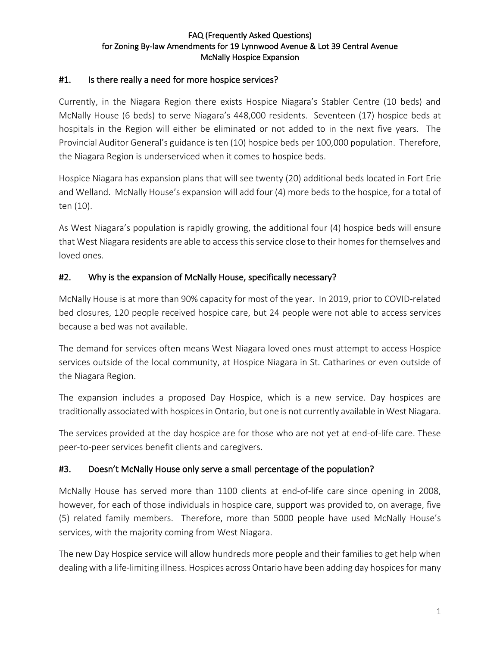### #1. Is there really a need for more hospice services?

Currently, in the Niagara Region there exists Hospice Niagara's Stabler Centre (10 beds) and McNally House (6 beds) to serve Niagara's 448,000 residents. Seventeen (17) hospice beds at hospitals in the Region will either be eliminated or not added to in the next five years. The Provincial Auditor General's guidance is ten (10) hospice beds per 100,000 population. Therefore, the Niagara Region is underserviced when it comes to hospice beds.

Hospice Niagara has expansion plans that will see twenty (20) additional beds located in Fort Erie and Welland. McNally House's expansion will add four (4) more beds to the hospice, for a total of ten (10).

As West Niagara's population is rapidly growing, the additional four (4) hospice beds will ensure that West Niagara residents are able to access this service close to their homes for themselves and loved ones.

### #2. Why is the expansion of McNally House, specifically necessary?

McNally House is at more than 90% capacity for most of the year. In 2019, prior to COVID-related bed closures, 120 people received hospice care, but 24 people were not able to access services because a bed was not available.

The demand for services often means West Niagara loved ones must attempt to access Hospice services outside of the local community, at Hospice Niagara in St. Catharines or even outside of the Niagara Region.

The expansion includes a proposed Day Hospice, which is a new service. Day hospices are traditionally associated with hospices in Ontario, but one is not currently available in West Niagara.

The services provided at the day hospice are for those who are not yet at end-of-life care. These peer-to-peer services benefit clients and caregivers.

### #3. Doesn't McNally House only serve a small percentage of the population?

McNally House has served more than 1100 clients at end-of-life care since opening in 2008, however, for each of those individuals in hospice care, support was provided to, on average, five (5) related family members. Therefore, more than 5000 people have used McNally House's services, with the majority coming from West Niagara.

The new Day Hospice service will allow hundreds more people and their families to get help when dealing with a life-limiting illness. Hospices across Ontario have been adding day hospices for many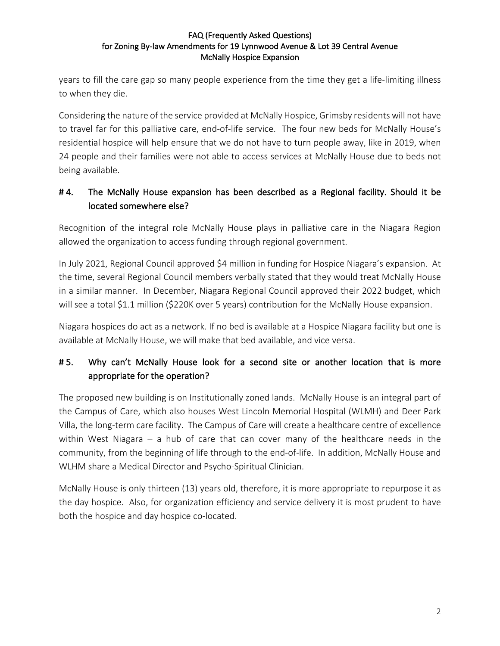years to fill the care gap so many people experience from the time they get a life-limiting illness to when they die.

Considering the nature of the service provided at McNally Hospice, Grimsby residents will not have to travel far for this palliative care, end-of-life service. The four new beds for McNally House's residential hospice will help ensure that we do not have to turn people away, like in 2019, when 24 people and their families were not able to access services at McNally House due to beds not being available.

## #4. The McNally House expansion has been described as a Regional facility. Should it be located somewhere else?

Recognition of the integral role McNally House plays in palliative care in the Niagara Region allowed the organization to access funding through regional government.

In July 2021, Regional Council approved \$4 million in funding for Hospice Niagara's expansion. At the time, several Regional Council members verbally stated that they would treat McNally House in a similar manner. In December, Niagara Regional Council approved their 2022 budget, which will see a total \$1.1 million (\$220K over 5 years) contribution for the McNally House expansion.

Niagara hospices do act as a network. If no bed is available at a Hospice Niagara facility but one is available at McNally House, we will make that bed available, and vice versa.

## # 5. Why can't McNally House look for a second site or another location that is more appropriate for the operation?

The proposed new building is on Institutionally zoned lands. McNally House is an integral part of the Campus of Care, which also houses West Lincoln Memorial Hospital (WLMH) and Deer Park Villa, the long-term care facility. The Campus of Care will create a healthcare centre of excellence within West Niagara – a hub of care that can cover many of the healthcare needs in the community, from the beginning of life through to the end-of-life. In addition, McNally House and WLHM share a Medical Director and Psycho-Spiritual Clinician.

McNally House is only thirteen (13) years old, therefore, it is more appropriate to repurpose it as the day hospice. Also, for organization efficiency and service delivery it is most prudent to have both the hospice and day hospice co-located.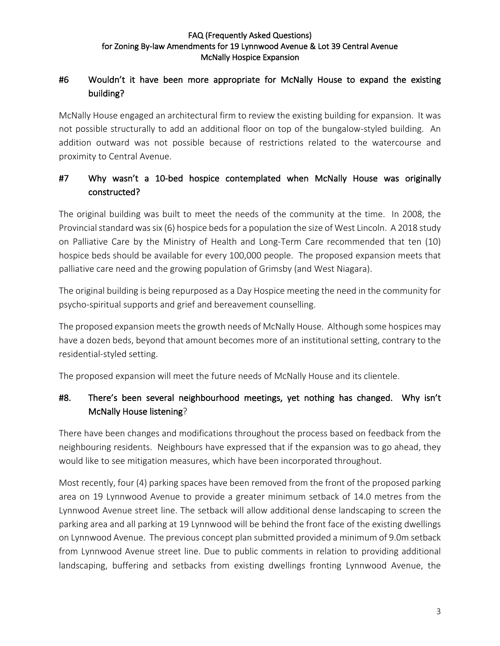## #6 Wouldn't it have been more appropriate for McNally House to expand the existing building?

McNally House engaged an architectural firm to review the existing building for expansion. It was not possible structurally to add an additional floor on top of the bungalow-styled building. An addition outward was not possible because of restrictions related to the watercourse and proximity to Central Avenue.

## #7 Why wasn't a 10-bed hospice contemplated when McNally House was originally constructed?

The original building was built to meet the needs of the community at the time. In 2008, the Provincial standard was six (6) hospice beds for a population the size of West Lincoln. A 2018 study on Palliative Care by the Ministry of Health and Long-Term Care recommended that ten (10) hospice beds should be available for every 100,000 people. The proposed expansion meets that palliative care need and the growing population of Grimsby (and West Niagara).

The original building is being repurposed as a Day Hospice meeting the need in the community for psycho-spiritual supports and grief and bereavement counselling.

The proposed expansion meets the growth needs of McNally House. Although some hospices may have a dozen beds, beyond that amount becomes more of an institutional setting, contrary to the residential-styled setting.

The proposed expansion will meet the future needs of McNally House and its clientele.

## #8. There's been several neighbourhood meetings, yet nothing has changed. Why isn't McNally House listening?

There have been changes and modifications throughout the process based on feedback from the neighbouring residents. Neighbours have expressed that if the expansion was to go ahead, they would like to see mitigation measures, which have been incorporated throughout.

Most recently, four (4) parking spaces have been removed from the front of the proposed parking area on 19 Lynnwood Avenue to provide a greater minimum setback of 14.0 metres from the Lynnwood Avenue street line. The setback will allow additional dense landscaping to screen the parking area and all parking at 19 Lynnwood will be behind the front face of the existing dwellings on Lynnwood Avenue. The previous concept plan submitted provided a minimum of 9.0m setback from Lynnwood Avenue street line. Due to public comments in relation to providing additional landscaping, buffering and setbacks from existing dwellings fronting Lynnwood Avenue, the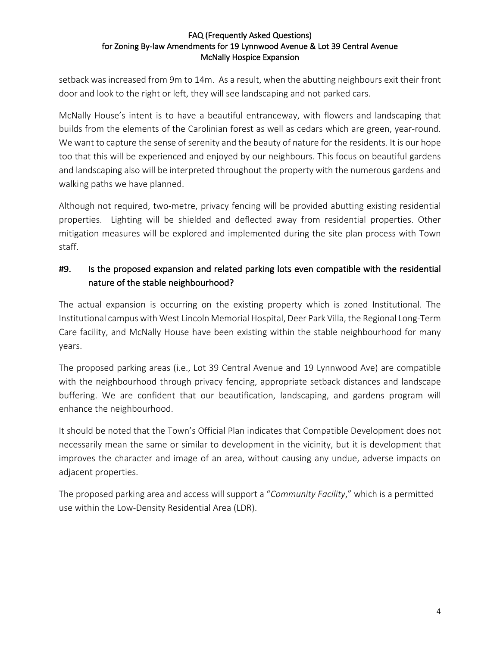setback was increased from 9m to 14m. As a result, when the abutting neighbours exit their front door and look to the right or left, they will see landscaping and not parked cars.

McNally House's intent is to have a beautiful entranceway, with flowers and landscaping that builds from the elements of the Carolinian forest as well as cedars which are green, year-round. We want to capture the sense of serenity and the beauty of nature for the residents. It is our hope too that this will be experienced and enjoyed by our neighbours. This focus on beautiful gardens and landscaping also will be interpreted throughout the property with the numerous gardens and walking paths we have planned.

Although not required, two-metre, privacy fencing will be provided abutting existing residential properties. Lighting will be shielded and deflected away from residential properties. Other mitigation measures will be explored and implemented during the site plan process with Town staff.

## #9. Is the proposed expansion and related parking lots even compatible with the residential nature of the stable neighbourhood?

The actual expansion is occurring on the existing property which is zoned Institutional. The Institutional campus with West Lincoln Memorial Hospital, Deer Park Villa, the Regional Long-Term Care facility, and McNally House have been existing within the stable neighbourhood for many years.

The proposed parking areas (i.e., Lot 39 Central Avenue and 19 Lynnwood Ave) are compatible with the neighbourhood through privacy fencing, appropriate setback distances and landscape buffering. We are confident that our beautification, landscaping, and gardens program will enhance the neighbourhood.

It should be noted that the Town's Official Plan indicates that Compatible Development does not necessarily mean the same or similar to development in the vicinity, but it is development that improves the character and image of an area, without causing any undue, adverse impacts on adjacent properties.

The proposed parking area and access will support a "*Community Facility*," which is a permitted use within the Low-Density Residential Area (LDR).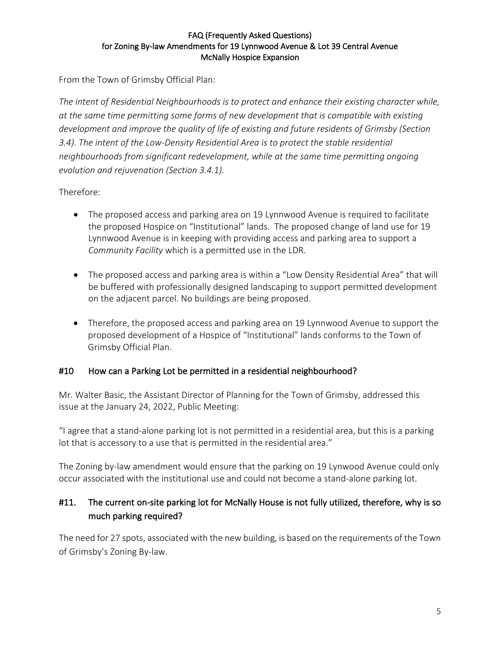From the Town of Grimsby Official Plan:

*The intent of Residential Neighbourhoods is to protect and enhance their existing character while, at the same time permitting some forms of new development that is compatible with existing development and improve the quality of life of existing and future residents of Grimsby (Section 3.4). The intent of the Low-Density Residential Area is to protect the stable residential neighbourhoods from significant redevelopment, while at the same time permitting ongoing evolution and rejuvenation (Section 3.4.1).*

Therefore:

- The proposed access and parking area on 19 Lynnwood Avenue is required to facilitate the proposed Hospice on "Institutional" lands. The proposed change of land use for 19 Lynnwood Avenue is in keeping with providing access and parking area to support a *Community Facility* which is a permitted use in the LDR.
- The proposed access and parking area is within a "Low Density Residential Area" that will be buffered with professionally designed landscaping to support permitted development on the adjacent parcel. No buildings are being proposed.
- Therefore, the proposed access and parking area on 19 Lynnwood Avenue to support the proposed development of a Hospice of "Institutional" lands conforms to the Town of Grimsby Official Plan.

### #10 How can a Parking Lot be permitted in a residential neighbourhood?

Mr. Walter Basic, the Assistant Director of Planning for the Town of Grimsby, addressed this issue at the January 24, 2022, Public Meeting:

"I agree that a stand-alone parking lot is not permitted in a residential area, but this is a parking lot that is accessory to a use that is permitted in the residential area."

The Zoning by-law amendment would ensure that the parking on 19 Lynwood Avenue could only occur associated with the institutional use and could not become a stand-alone parking lot.

## #11. The current on-site parking lot for McNally House is not fully utilized, therefore, why is so much parking required?

The need for 27 spots, associated with the new building, is based on the requirements of the Town of Grimsby's Zoning By-law.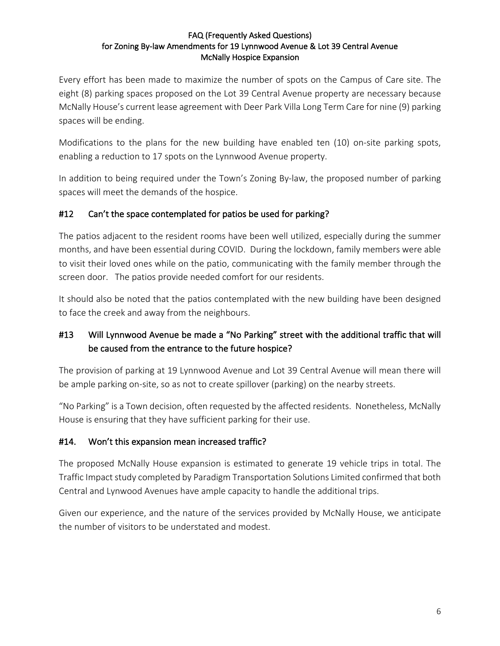Every effort has been made to maximize the number of spots on the Campus of Care site. The eight (8) parking spaces proposed on the Lot 39 Central Avenue property are necessary because McNally House's current lease agreement with Deer Park Villa Long Term Care for nine (9) parking spaces will be ending.

Modifications to the plans for the new building have enabled ten (10) on-site parking spots, enabling a reduction to 17 spots on the Lynnwood Avenue property.

In addition to being required under the Town's Zoning By-law, the proposed number of parking spaces will meet the demands of the hospice.

### #12 Can't the space contemplated for patios be used for parking?

The patios adjacent to the resident rooms have been well utilized, especially during the summer months, and have been essential during COVID. During the lockdown, family members were able to visit their loved ones while on the patio, communicating with the family member through the screen door. The patios provide needed comfort for our residents.

It should also be noted that the patios contemplated with the new building have been designed to face the creek and away from the neighbours.

## #13 Will Lynnwood Avenue be made a "No Parking" street with the additional traffic that will be caused from the entrance to the future hospice?

The provision of parking at 19 Lynnwood Avenue and Lot 39 Central Avenue will mean there will be ample parking on-site, so as not to create spillover (parking) on the nearby streets.

"No Parking" is a Town decision, often requested by the affected residents. Nonetheless, McNally House is ensuring that they have sufficient parking for their use.

### #14. Won't this expansion mean increased traffic?

The proposed McNally House expansion is estimated to generate 19 vehicle trips in total. The Traffic Impact study completed by Paradigm Transportation Solutions Limited confirmed that both Central and Lynwood Avenues have ample capacity to handle the additional trips.

Given our experience, and the nature of the services provided by McNally House, we anticipate the number of visitors to be understated and modest.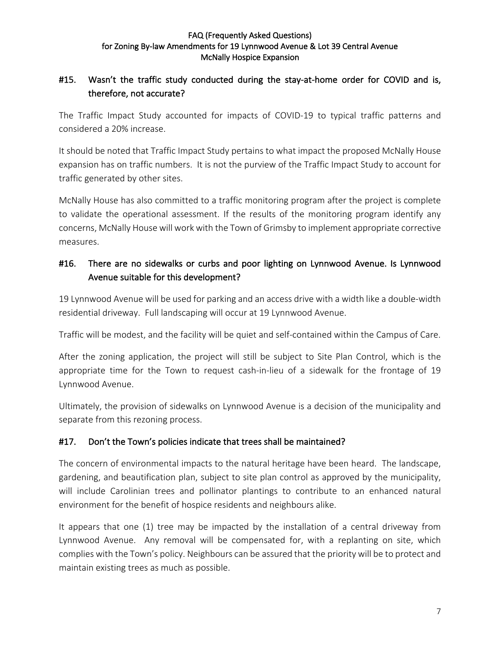## #15. Wasn't the traffic study conducted during the stay-at-home order for COVID and is, therefore, not accurate?

The Traffic Impact Study accounted for impacts of COVID-19 to typical traffic patterns and considered a 20% increase.

It should be noted that Traffic Impact Study pertains to what impact the proposed McNally House expansion has on traffic numbers. It is not the purview of the Traffic Impact Study to account for traffic generated by other sites.

McNally House has also committed to a traffic monitoring program after the project is complete to validate the operational assessment. If the results of the monitoring program identify any concerns, McNally House will work with the Town of Grimsby to implement appropriate corrective measures.

## #16. There are no sidewalks or curbs and poor lighting on Lynnwood Avenue. Is Lynnwood Avenue suitable for this development?

19 Lynnwood Avenue will be used for parking and an access drive with a width like a double-width residential driveway. Full landscaping will occur at 19 Lynnwood Avenue.

Traffic will be modest, and the facility will be quiet and self-contained within the Campus of Care.

After the zoning application, the project will still be subject to Site Plan Control, which is the appropriate time for the Town to request cash-in-lieu of a sidewalk for the frontage of 19 Lynnwood Avenue.

Ultimately, the provision of sidewalks on Lynnwood Avenue is a decision of the municipality and separate from this rezoning process.

### #17. Don't the Town's policies indicate that trees shall be maintained?

The concern of environmental impacts to the natural heritage have been heard. The landscape, gardening, and beautification plan, subject to site plan control as approved by the municipality, will include Carolinian trees and pollinator plantings to contribute to an enhanced natural environment for the benefit of hospice residents and neighbours alike.

It appears that one (1) tree may be impacted by the installation of a central driveway from Lynnwood Avenue. Any removal will be compensated for, with a replanting on site, which complies with the Town's policy. Neighbours can be assured that the priority will be to protect and maintain existing trees as much as possible.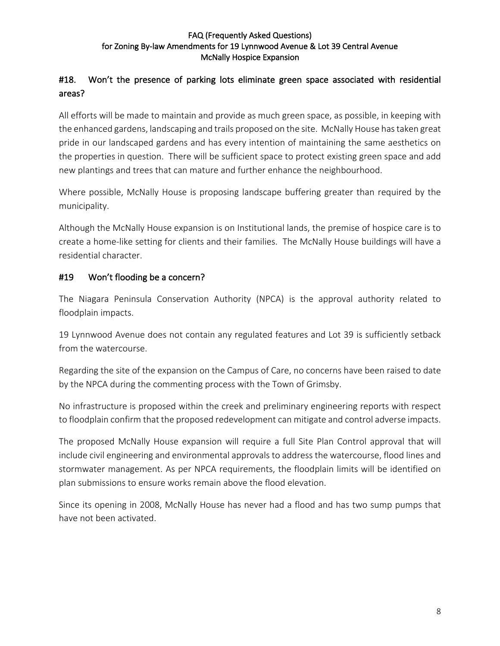### #18. Won't the presence of parking lots eliminate green space associated with residential areas?

All efforts will be made to maintain and provide as much green space, as possible, in keeping with the enhanced gardens, landscaping and trails proposed on the site. McNally House has taken great pride in our landscaped gardens and has every intention of maintaining the same aesthetics on the properties in question. There will be sufficient space to protect existing green space and add new plantings and trees that can mature and further enhance the neighbourhood.

Where possible, McNally House is proposing landscape buffering greater than required by the municipality.

Although the McNally House expansion is on Institutional lands, the premise of hospice care is to create a home-like setting for clients and their families. The McNally House buildings will have a residential character.

### #19 Won't flooding be a concern?

The Niagara Peninsula Conservation Authority (NPCA) is the approval authority related to floodplain impacts.

19 Lynnwood Avenue does not contain any regulated features and Lot 39 is sufficiently setback from the watercourse.

Regarding the site of the expansion on the Campus of Care, no concerns have been raised to date by the NPCA during the commenting process with the Town of Grimsby.

No infrastructure is proposed within the creek and preliminary engineering reports with respect to floodplain confirm that the proposed redevelopment can mitigate and control adverse impacts.

The proposed McNally House expansion will require a full Site Plan Control approval that will include civil engineering and environmental approvals to address the watercourse, flood lines and stormwater management. As per NPCA requirements, the floodplain limits will be identified on plan submissions to ensure works remain above the flood elevation.

Since its opening in 2008, McNally House has never had a flood and has two sump pumps that have not been activated.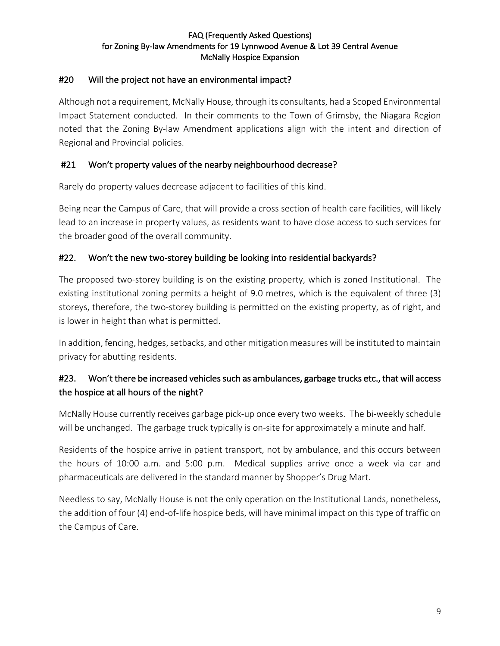### #20 Will the project not have an environmental impact?

Although not a requirement, McNally House, through its consultants, had a Scoped Environmental Impact Statement conducted. In their comments to the Town of Grimsby, the Niagara Region noted that the Zoning By-law Amendment applications align with the intent and direction of Regional and Provincial policies.

### #21 Won't property values of the nearby neighbourhood decrease?

Rarely do property values decrease adjacent to facilities of this kind.

Being near the Campus of Care, that will provide a cross section of health care facilities, will likely lead to an increase in property values, as residents want to have close access to such services for the broader good of the overall community.

### #22. Won't the new two-storey building be looking into residential backyards?

The proposed two-storey building is on the existing property, which is zoned Institutional. The existing institutional zoning permits a height of 9.0 metres, which is the equivalent of three (3) storeys, therefore, the two-storey building is permitted on the existing property, as of right, and is lower in height than what is permitted.

In addition, fencing, hedges, setbacks, and other mitigation measures will be instituted to maintain privacy for abutting residents.

## #23. Won't there be increased vehicles such as ambulances, garbage trucks etc., that will access the hospice at all hours of the night?

McNally House currently receives garbage pick-up once every two weeks. The bi-weekly schedule will be unchanged. The garbage truck typically is on-site for approximately a minute and half.

Residents of the hospice arrive in patient transport, not by ambulance, and this occurs between the hours of 10:00 a.m. and 5:00 p.m. Medical supplies arrive once a week via car and pharmaceuticals are delivered in the standard manner by Shopper's Drug Mart.

Needless to say, McNally House is not the only operation on the Institutional Lands, nonetheless, the addition of four (4) end-of-life hospice beds, will have minimal impact on this type of traffic on the Campus of Care.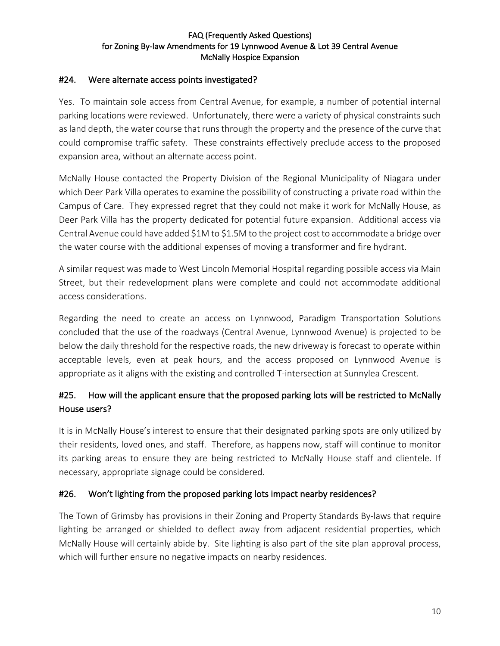### #24. Were alternate access points investigated?

Yes. To maintain sole access from Central Avenue, for example, a number of potential internal parking locations were reviewed. Unfortunately, there were a variety of physical constraints such as land depth, the water course that runs through the property and the presence of the curve that could compromise traffic safety. These constraints effectively preclude access to the proposed expansion area, without an alternate access point.

McNally House contacted the Property Division of the Regional Municipality of Niagara under which Deer Park Villa operates to examine the possibility of constructing a private road within the Campus of Care. They expressed regret that they could not make it work for McNally House, as Deer Park Villa has the property dedicated for potential future expansion. Additional access via Central Avenue could have added \$1M to \$1.5M to the project cost to accommodate a bridge over the water course with the additional expenses of moving a transformer and fire hydrant.

A similar request was made to West Lincoln Memorial Hospital regarding possible access via Main Street, but their redevelopment plans were complete and could not accommodate additional access considerations.

Regarding the need to create an access on Lynnwood, Paradigm Transportation Solutions concluded that the use of the roadways (Central Avenue, Lynnwood Avenue) is projected to be below the daily threshold for the respective roads, the new driveway is forecast to operate within acceptable levels, even at peak hours, and the access proposed on Lynnwood Avenue is appropriate as it aligns with the existing and controlled T-intersection at Sunnylea Crescent.

## #25. How will the applicant ensure that the proposed parking lots will be restricted to McNally House users?

It is in McNally House's interest to ensure that their designated parking spots are only utilized by their residents, loved ones, and staff. Therefore, as happens now, staff will continue to monitor its parking areas to ensure they are being restricted to McNally House staff and clientele. If necessary, appropriate signage could be considered.

### #26. Won't lighting from the proposed parking lots impact nearby residences?

The Town of Grimsby has provisions in their Zoning and Property Standards By-laws that require lighting be arranged or shielded to deflect away from adjacent residential properties, which McNally House will certainly abide by. Site lighting is also part of the site plan approval process, which will further ensure no negative impacts on nearby residences.